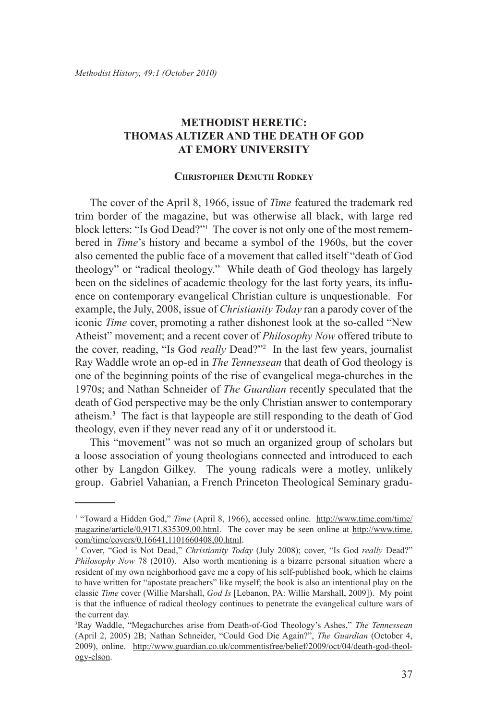# **Methodist Heretic: Thomas Altizer and the Death of God at Emory University**

#### **Christopher Demuth Rodkey**

The cover of the April 8, 1966, issue of *Time* featured the trademark red trim border of the magazine, but was otherwise all black, with large red block letters: "Is God Dead?"1 The cover is not only one of the most remembered in *Time*'s history and became a symbol of the 1960s, but the cover also cemented the public face of a movement that called itself "death of God theology" or "radical theology." While death of God theology has largely been on the sidelines of academic theology for the last forty years, its influence on contemporary evangelical Christian culture is unquestionable. For example, the July, 2008, issue of *Christianity Today* ran a parody cover of the iconic *Time* cover, promoting a rather dishonest look at the so-called "New Atheist" movement; and a recent cover of *Philosophy Now* offered tribute to the cover, reading, "Is God *really* Dead?"2 In the last few years, journalist Ray Waddle wrote an op-ed in *The Tennessean* that death of God theology is one of the beginning points of the rise of evangelical mega-churches in the 1970s; and Nathan Schneider of *The Guardian* recently speculated that the death of God perspective may be the only Christian answer to contemporary atheism.3 The fact is that laypeople are still responding to the death of God theology, even if they never read any of it or understood it.

This "movement" was not so much an organized group of scholars but a loose association of young theologians connected and introduced to each other by Langdon Gilkey. The young radicals were a motley, unlikely group. Gabriel Vahanian, a French Princeton Theological Seminary gradu-

<sup>&</sup>lt;sup>1</sup> "Toward a Hidden God," *Time* (April 8, 1966), accessed online. http://www.time.com/time/ magazine/article/0,9171,835309,00.html. The cover may be seen online at http://www.time. com/time/covers/0,16641,1101660408,00.html.

<sup>2</sup> Cover, "God is Not Dead," *Christianity Today* (July 2008); cover, "Is God *really* Dead?" *Philosophy Now* 78 (2010). Also worth mentioning is a bizarre personal situation where a resident of my own neighborhood gave me a copy of his self-published book, which he claims to have written for "apostate preachers" like myself; the book is also an intentional play on the classic *Time* cover (Willie Marshall, *God Is* [Lebanon, PA: Willie Marshall, 2009]). My point is that the influence of radical theology continues to penetrate the evangelical culture wars of the current day.

<sup>3</sup> Ray Waddle, "Megachurches arise from Death-of-God Theology's Ashes," *The Tennessean* (April 2, 2005) 2B; Nathan Schneider, "Could God Die Again?", *The Guardian* (October 4, 2009), online. http://www.guardian.co.uk/commentisfree/belief/2009/oct/04/death-god-theology-elson.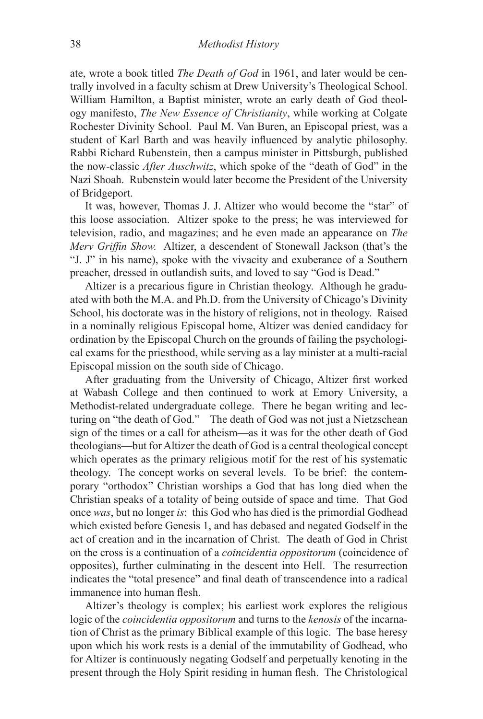ate, wrote a book titled *The Death of God* in 1961, and later would be centrally involved in a faculty schism at Drew University's Theological School. William Hamilton, a Baptist minister, wrote an early death of God theology manifesto, *The New Essence of Christianity*, while working at Colgate Rochester Divinity School. Paul M. Van Buren, an Episcopal priest, was a student of Karl Barth and was heavily influenced by analytic philosophy. Rabbi Richard Rubenstein, then a campus minister in Pittsburgh, published the now-classic *After Auschwitz*, which spoke of the "death of God" in the Nazi Shoah. Rubenstein would later become the President of the University of Bridgeport.

It was, however, Thomas J. J. Altizer who would become the "star" of this loose association. Altizer spoke to the press; he was interviewed for television, radio, and magazines; and he even made an appearance on *The Merv Griffin Show.* Altizer, a descendent of Stonewall Jackson (that's the "J. J" in his name), spoke with the vivacity and exuberance of a Southern preacher, dressed in outlandish suits, and loved to say "God is Dead."

Altizer is a precarious figure in Christian theology. Although he graduated with both the M.A. and Ph.D. from the University of Chicago's Divinity School, his doctorate was in the history of religions, not in theology. Raised in a nominally religious Episcopal home, Altizer was denied candidacy for ordination by the Episcopal Church on the grounds of failing the psychological exams for the priesthood, while serving as a lay minister at a multi-racial Episcopal mission on the south side of Chicago.

After graduating from the University of Chicago, Altizer first worked at Wabash College and then continued to work at Emory University, a Methodist-related undergraduate college. There he began writing and lecturing on "the death of God." The death of God was not just a Nietzschean sign of the times or a call for atheism—as it was for the other death of God theologians—but for Altizer the death of God is a central theological concept which operates as the primary religious motif for the rest of his systematic theology. The concept works on several levels. To be brief: the contemporary "orthodox" Christian worships a God that has long died when the Christian speaks of a totality of being outside of space and time. That God once *was*, but no longer *is*: this God who has died is the primordial Godhead which existed before Genesis 1, and has debased and negated Godself in the act of creation and in the incarnation of Christ. The death of God in Christ on the cross is a continuation of a *coincidentia oppositorum* (coincidence of opposites), further culminating in the descent into Hell. The resurrection indicates the "total presence" and final death of transcendence into a radical immanence into human flesh.

Altizer's theology is complex; his earliest work explores the religious logic of the *coincidentia oppositorum* and turns to the *kenosis* of the incarnation of Christ as the primary Biblical example of this logic. The base heresy upon which his work rests is a denial of the immutability of Godhead, who for Altizer is continuously negating Godself and perpetually kenoting in the present through the Holy Spirit residing in human flesh. The Christological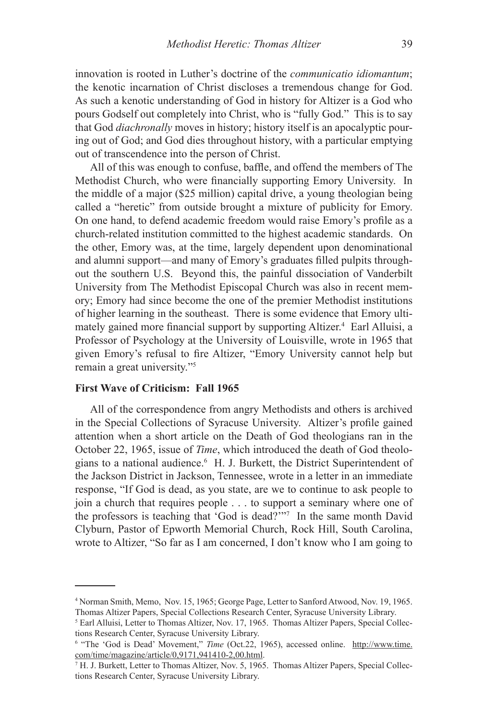innovation is rooted in Luther's doctrine of the *communicatio idiomantum*; the kenotic incarnation of Christ discloses a tremendous change for God. As such a kenotic understanding of God in history for Altizer is a God who pours Godself out completely into Christ, who is "fully God." This is to say that God *diachronally* moves in history; history itself is an apocalyptic pouring out of God; and God dies throughout history, with a particular emptying out of transcendence into the person of Christ.

All of this was enough to confuse, baffle, and offend the members of The Methodist Church, who were financially supporting Emory University. In the middle of a major (\$25 million) capital drive, a young theologian being called a "heretic" from outside brought a mixture of publicity for Emory. On one hand, to defend academic freedom would raise Emory's profile as a church-related institution committed to the highest academic standards. On the other, Emory was, at the time, largely dependent upon denominational and alumni support—and many of Emory's graduates filled pulpits throughout the southern U.S. Beyond this, the painful dissociation of Vanderbilt University from The Methodist Episcopal Church was also in recent memory; Emory had since become the one of the premier Methodist institutions of higher learning in the southeast. There is some evidence that Emory ultimately gained more financial support by supporting Altizer.<sup>4</sup> Earl Alluisi, a Professor of Psychology at the University of Louisville, wrote in 1965 that given Emory's refusal to fire Altizer, "Emory University cannot help but remain a great university."5

## **First Wave of Criticism: Fall 1965**

All of the correspondence from angry Methodists and others is archived in the Special Collections of Syracuse University. Altizer's profile gained attention when a short article on the Death of God theologians ran in the October 22, 1965, issue of *Time*, which introduced the death of God theologians to a national audience.<sup>6</sup> H. J. Burkett, the District Superintendent of the Jackson District in Jackson, Tennessee, wrote in a letter in an immediate response, "If God is dead, as you state, are we to continue to ask people to join a church that requires people . . . to support a seminary where one of the professors is teaching that 'God is dead?'"7 In the same month David Clyburn, Pastor of Epworth Memorial Church, Rock Hill, South Carolina, wrote to Altizer, "So far as I am concerned, I don't know who I am going to

<sup>4</sup> Norman Smith, Memo, Nov. 15, 1965; George Page, Letter to Sanford Atwood, Nov. 19, 1965. Thomas Altizer Papers, Special Collections Research Center, Syracuse University Library.

<sup>&</sup>lt;sup>5</sup> Earl Alluisi, Letter to Thomas Altizer, Nov. 17, 1965. Thomas Altizer Papers, Special Collections Research Center, Syracuse University Library.

<sup>&</sup>lt;sup>6</sup> "The 'God is Dead' Movement," *Time* (Oct.22, 1965), accessed online. http://www.time. com/time/magazine/article/0,9171,941410-2,00.html.

<sup>7</sup> H. J. Burkett, Letter to Thomas Altizer, Nov. 5, 1965. Thomas Altizer Papers, Special Collections Research Center, Syracuse University Library.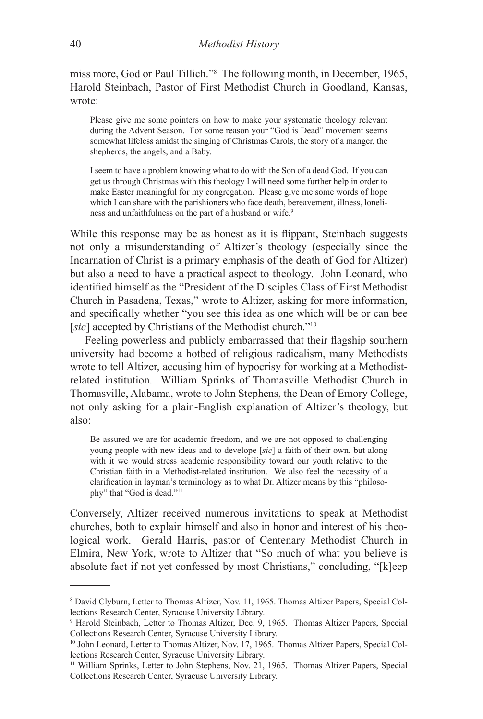miss more, God or Paul Tillich."8 The following month, in December, 1965, Harold Steinbach, Pastor of First Methodist Church in Goodland, Kansas, wrote:

Please give me some pointers on how to make your systematic theology relevant during the Advent Season. For some reason your "God is Dead" movement seems somewhat lifeless amidst the singing of Christmas Carols, the story of a manger, the shepherds, the angels, and a Baby.

I seem to have a problem knowing what to do with the Son of a dead God. If you can get us through Christmas with this theology I will need some further help in order to make Easter meaningful for my congregation. Please give me some words of hope which I can share with the parishioners who face death, bereavement, illness, loneliness and unfaithfulness on the part of a husband or wife.<sup>9</sup>

While this response may be as honest as it is flippant, Steinbach suggests not only a misunderstanding of Altizer's theology (especially since the Incarnation of Christ is a primary emphasis of the death of God for Altizer) but also a need to have a practical aspect to theology. John Leonard, who identified himself as the "President of the Disciples Class of First Methodist Church in Pasadena, Texas," wrote to Altizer, asking for more information, and specifically whether "you see this idea as one which will be or can bee [sic] accepted by Christians of the Methodist church."<sup>10</sup>

Feeling powerless and publicly embarrassed that their flagship southern university had become a hotbed of religious radicalism, many Methodists wrote to tell Altizer, accusing him of hypocrisy for working at a Methodistrelated institution. William Sprinks of Thomasville Methodist Church in Thomasville, Alabama, wrote to John Stephens, the Dean of Emory College, not only asking for a plain-English explanation of Altizer's theology, but also:

Be assured we are for academic freedom, and we are not opposed to challenging young people with new ideas and to develope [*sic*] a faith of their own, but along with it we would stress academic responsibility toward our youth relative to the Christian faith in a Methodist-related institution. We also feel the necessity of a clarification in layman's terminology as to what Dr. Altizer means by this "philosophy" that "God is dead."<sup>11</sup>

Conversely, Altizer received numerous invitations to speak at Methodist churches, both to explain himself and also in honor and interest of his theological work. Gerald Harris, pastor of Centenary Methodist Church in Elmira, New York, wrote to Altizer that "So much of what you believe is absolute fact if not yet confessed by most Christians," concluding, "[k]eep

<sup>8</sup> David Clyburn, Letter to Thomas Altizer, Nov. 11, 1965. Thomas Altizer Papers, Special Collections Research Center, Syracuse University Library.

<sup>9</sup> Harold Steinbach, Letter to Thomas Altizer, Dec. 9, 1965. Thomas Altizer Papers, Special Collections Research Center, Syracuse University Library.

<sup>&</sup>lt;sup>10</sup> John Leonard, Letter to Thomas Altizer, Nov. 17, 1965. Thomas Altizer Papers, Special Collections Research Center, Syracuse University Library.

<sup>11</sup> William Sprinks, Letter to John Stephens, Nov. 21, 1965. Thomas Altizer Papers, Special Collections Research Center, Syracuse University Library.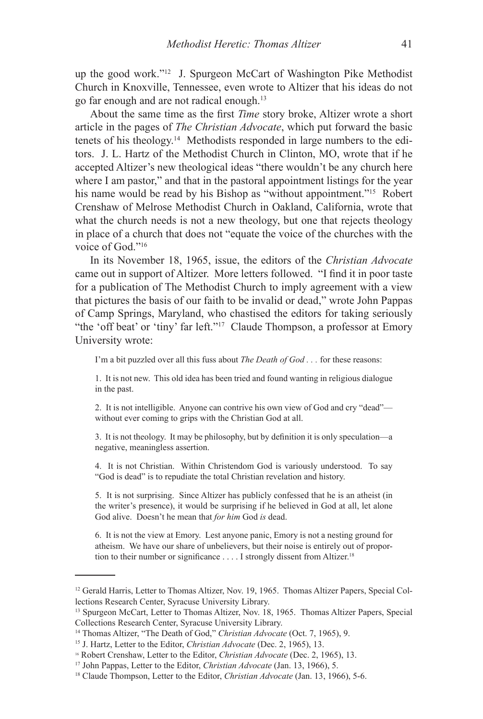up the good work."12 J. Spurgeon McCart of Washington Pike Methodist Church in Knoxville, Tennessee, even wrote to Altizer that his ideas do not go far enough and are not radical enough.13

About the same time as the first *Time* story broke, Altizer wrote a short article in the pages of *The Christian Advocate*, which put forward the basic tenets of his theology.14 Methodists responded in large numbers to the editors. J. L. Hartz of the Methodist Church in Clinton, MO, wrote that if he accepted Altizer's new theological ideas "there wouldn't be any church here where I am pastor," and that in the pastoral appointment listings for the year his name would be read by his Bishop as "without appointment."<sup>15</sup> Robert Crenshaw of Melrose Methodist Church in Oakland, California, wrote that what the church needs is not a new theology, but one that rejects theology in place of a church that does not "equate the voice of the churches with the voice of God<sup>"16</sup>

In its November 18, 1965, issue, the editors of the *Christian Advocate* came out in support of Altizer. More letters followed. "I find it in poor taste for a publication of The Methodist Church to imply agreement with a view that pictures the basis of our faith to be invalid or dead," wrote John Pappas of Camp Springs, Maryland, who chastised the editors for taking seriously "the 'off beat' or 'tiny' far left."17 Claude Thompson, a professor at Emory University wrote:

I'm a bit puzzled over all this fuss about *The Death of God . . .* for these reasons:

1. It is not new. This old idea has been tried and found wanting in religious dialogue in the past.

2. It is not intelligible. Anyone can contrive his own view of God and cry "dead" without ever coming to grips with the Christian God at all.

3. It is not theology. It may be philosophy, but by definition it is only speculation—a negative, meaningless assertion.

4. It is not Christian. Within Christendom God is variously understood. To say "God is dead" is to repudiate the total Christian revelation and history.

5. It is not surprising. Since Altizer has publicly confessed that he is an atheist (in the writer's presence), it would be surprising if he believed in God at all, let alone God alive. Doesn't he mean that *for him* God *is* dead.

6. It is not the view at Emory. Lest anyone panic, Emory is not a nesting ground for atheism. We have our share of unbelievers, but their noise is entirely out of proportion to their number or significance . . . . I strongly dissent from Altizer.<sup>18</sup>

<sup>&</sup>lt;sup>12</sup> Gerald Harris, Letter to Thomas Altizer, Nov. 19, 1965. Thomas Altizer Papers, Special Collections Research Center, Syracuse University Library.

<sup>13</sup> Spurgeon McCart, Letter to Thomas Altizer, Nov. 18, 1965. Thomas Altizer Papers, Special Collections Research Center, Syracuse University Library.

<sup>14</sup> Thomas Altizer, "The Death of God," *Christian Advocate* (Oct. 7, 1965), 9.

<sup>15</sup> J. Hartz, Letter to the Editor, *Christian Advocate* (Dec. 2, 1965), 13.

<sup>16</sup> Robert Crenshaw, Letter to the Editor, *Christian Advocate* (Dec. 2, 1965), 13.

<sup>17</sup> John Pappas, Letter to the Editor, *Christian Advocate* (Jan. 13, 1966), 5.

<sup>18</sup> Claude Thompson, Letter to the Editor, *Christian Advocate* (Jan. 13, 1966), 5-6.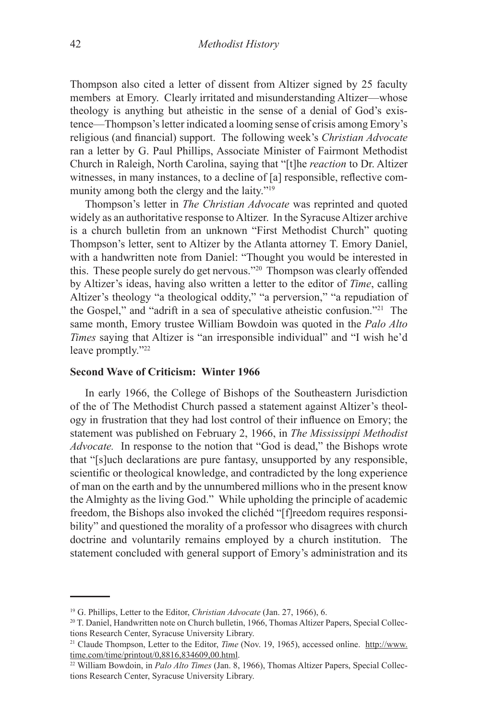Thompson also cited a letter of dissent from Altizer signed by 25 faculty members at Emory. Clearly irritated and misunderstanding Altizer—whose theology is anything but atheistic in the sense of a denial of God's existence—Thompson's letter indicated a looming sense of crisis among Emory's religious (and financial) support. The following week's *Christian Advocate* ran a letter by G. Paul Phillips, Associate Minister of Fairmont Methodist Church in Raleigh, North Carolina, saying that "[t]he *reaction* to Dr. Altizer witnesses, in many instances, to a decline of [a] responsible, reflective community among both the clergy and the laity."<sup>19</sup>

Thompson's letter in *The Christian Advocate* was reprinted and quoted widely as an authoritative response to Altizer. In the Syracuse Altizer archive is a church bulletin from an unknown "First Methodist Church" quoting Thompson's letter, sent to Altizer by the Atlanta attorney T. Emory Daniel, with a handwritten note from Daniel: "Thought you would be interested in this. These people surely do get nervous."20 Thompson was clearly offended by Altizer's ideas, having also written a letter to the editor of *Time*, calling Altizer's theology "a theological oddity," "a perversion," "a repudiation of the Gospel," and "adrift in a sea of speculative atheistic confusion."21 The same month, Emory trustee William Bowdoin was quoted in the *Palo Alto Times* saying that Altizer is "an irresponsible individual" and "I wish he'd leave promptly."22

#### **Second Wave of Criticism: Winter 1966**

In early 1966, the College of Bishops of the Southeastern Jurisdiction of the of The Methodist Church passed a statement against Altizer's theology in frustration that they had lost control of their influence on Emory; the statement was published on February 2, 1966, in *The Mississippi Methodist Advocate.* In response to the notion that "God is dead," the Bishops wrote that "[s]uch declarations are pure fantasy, unsupported by any responsible, scientific or theological knowledge, and contradicted by the long experience of man on the earth and by the unnumbered millions who in the present know the Almighty as the living God." While upholding the principle of academic freedom, the Bishops also invoked the clichéd "[f]reedom requires responsibility" and questioned the morality of a professor who disagrees with church doctrine and voluntarily remains employed by a church institution. The statement concluded with general support of Emory's administration and its

<sup>19</sup> G. Phillips, Letter to the Editor, *Christian Advocate* (Jan. 27, 1966), 6.

<sup>20</sup> T. Daniel, Handwritten note on Church bulletin, 1966, Thomas Altizer Papers, Special Collections Research Center, Syracuse University Library.

<sup>21</sup> Claude Thompson, Letter to the Editor, *Time* (Nov. 19, 1965), accessed online. http://www. time.com/time/printout/0,8816,834609,00.html.

<sup>22</sup> William Bowdoin, in *Palo Alto Times* (Jan. 8, 1966), Thomas Altizer Papers, Special Collections Research Center, Syracuse University Library.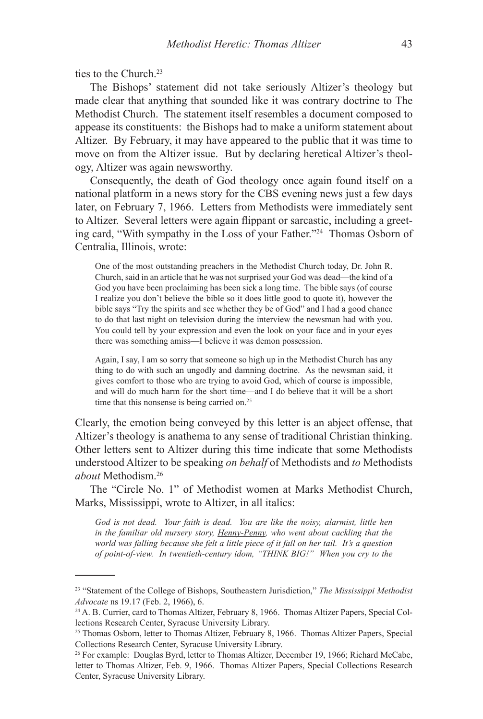ties to the Church<sup>23</sup>

The Bishops' statement did not take seriously Altizer's theology but made clear that anything that sounded like it was contrary doctrine to The Methodist Church. The statement itself resembles a document composed to appease its constituents: the Bishops had to make a uniform statement about Altizer. By February, it may have appeared to the public that it was time to move on from the Altizer issue. But by declaring heretical Altizer's theology, Altizer was again newsworthy.

Consequently, the death of God theology once again found itself on a national platform in a news story for the CBS evening news just a few days later, on February 7, 1966. Letters from Methodists were immediately sent to Altizer. Several letters were again flippant or sarcastic, including a greeting card, "With sympathy in the Loss of your Father."24 Thomas Osborn of Centralia, Illinois, wrote:

One of the most outstanding preachers in the Methodist Church today, Dr. John R. Church, said in an article that he was not surprised your God was dead—the kind of a God you have been proclaiming has been sick a long time. The bible says (of course I realize you don't believe the bible so it does little good to quote it), however the bible says "Try the spirits and see whether they be of God" and I had a good chance to do that last night on television during the interview the newsman had with you. You could tell by your expression and even the look on your face and in your eyes there was something amiss—I believe it was demon possession.

Again, I say, I am so sorry that someone so high up in the Methodist Church has any thing to do with such an ungodly and damning doctrine. As the newsman said, it gives comfort to those who are trying to avoid God, which of course is impossible, and will do much harm for the short time—and I do believe that it will be a short time that this nonsense is being carried on.<sup>25</sup>

Clearly, the emotion being conveyed by this letter is an abject offense, that Altizer's theology is anathema to any sense of traditional Christian thinking. Other letters sent to Altizer during this time indicate that some Methodists understood Altizer to be speaking *on behalf* of Methodists and *to* Methodists *about* Methodism.26

The "Circle No. 1" of Methodist women at Marks Methodist Church, Marks, Mississippi, wrote to Altizer, in all italics:

*God is not dead. Your faith is dead. You are like the noisy, alarmist, little hen in the familiar old nursery story, Henny-Penny, who went about cackling that the world was falling because she felt a little piece of it fall on her tail. It's a question of point-of-view. In twentieth-century idom, "THINK BIG!" When you cry to the* 

<sup>23 &</sup>quot;Statement of the College of Bishops, Southeastern Jurisdiction," *The Mississippi Methodist Advocate* ns 19.17 (Feb. 2, 1966), 6.

<sup>24</sup> A. B. Currier, card to Thomas Altizer, February 8, 1966. Thomas Altizer Papers, Special Collections Research Center, Syracuse University Library.

<sup>25</sup> Thomas Osborn, letter to Thomas Altizer, February 8, 1966. Thomas Altizer Papers, Special Collections Research Center, Syracuse University Library.

<sup>26</sup> For example: Douglas Byrd, letter to Thomas Altizer, December 19, 1966; Richard McCabe, letter to Thomas Altizer, Feb. 9, 1966. Thomas Altizer Papers, Special Collections Research Center, Syracuse University Library.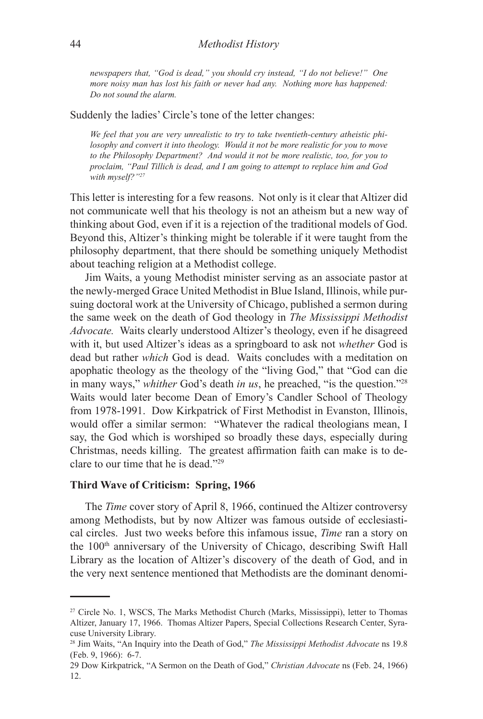## 44 *Methodist History*

*newspapers that, "God is dead," you should cry instead, "I do not believe!" One more noisy man has lost his faith or never had any. Nothing more has happened: Do not sound the alarm.*

Suddenly the ladies' Circle's tone of the letter changes:

*We feel that you are very unrealistic to try to take twentieth-century atheistic philosophy and convert it into theology. Would it not be more realistic for you to move to the Philosophy Department? And would it not be more realistic, too, for you to proclaim, "Paul Tillich is dead, and I am going to attempt to replace him and God with myself?"<sup>27</sup>*

This letter is interesting for a few reasons. Not only is it clear that Altizer did not communicate well that his theology is not an atheism but a new way of thinking about God, even if it is a rejection of the traditional models of God. Beyond this, Altizer's thinking might be tolerable if it were taught from the philosophy department, that there should be something uniquely Methodist about teaching religion at a Methodist college.

Jim Waits, a young Methodist minister serving as an associate pastor at the newly-merged Grace United Methodist in Blue Island, Illinois, while pursuing doctoral work at the University of Chicago, published a sermon during the same week on the death of God theology in *The Mississippi Methodist Advocate.* Waits clearly understood Altizer's theology, even if he disagreed with it, but used Altizer's ideas as a springboard to ask not *whether* God is dead but rather *which* God is dead. Waits concludes with a meditation on apophatic theology as the theology of the "living God," that "God can die in many ways," *whither* God's death *in us*, he preached, "is the question."28 Waits would later become Dean of Emory's Candler School of Theology from 1978-1991. Dow Kirkpatrick of First Methodist in Evanston, Illinois, would offer a similar sermon: "Whatever the radical theologians mean, I say, the God which is worshiped so broadly these days, especially during Christmas, needs killing. The greatest affirmation faith can make is to declare to our time that he is dead."29

## **Third Wave of Criticism: Spring, 1966**

The *Time* cover story of April 8, 1966, continued the Altizer controversy among Methodists, but by now Altizer was famous outside of ecclesiastical circles. Just two weeks before this infamous issue, *Time* ran a story on the 100<sup>th</sup> anniversary of the University of Chicago, describing Swift Hall Library as the location of Altizer's discovery of the death of God, and in the very next sentence mentioned that Methodists are the dominant denomi-

<sup>27</sup> Circle No. 1, WSCS, The Marks Methodist Church (Marks, Mississippi), letter to Thomas Altizer, January 17, 1966. Thomas Altizer Papers, Special Collections Research Center, Syracuse University Library.

<sup>28</sup> Jim Waits, "An Inquiry into the Death of God," *The Mississippi Methodist Advocate* ns 19.8 (Feb. 9, 1966): 6-7.

<sup>29</sup> Dow Kirkpatrick, "A Sermon on the Death of God," *Christian Advocate* ns (Feb. 24, 1966) 12.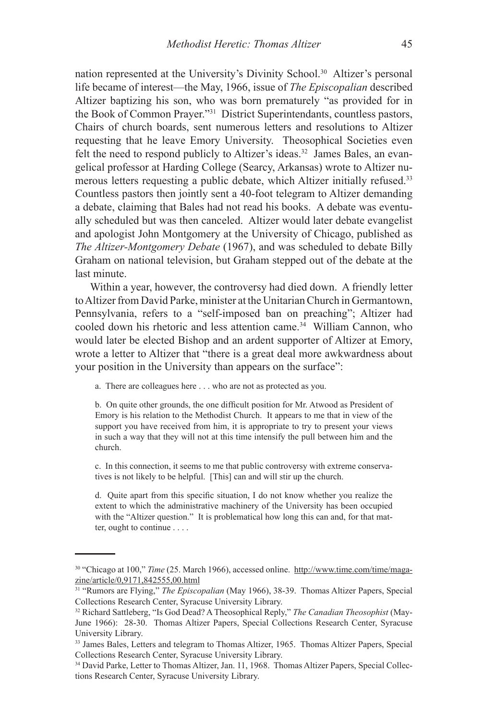nation represented at the University's Divinity School.<sup>30</sup> Altizer's personal life became of interest—the May, 1966, issue of *The Episcopalian* described Altizer baptizing his son, who was born prematurely "as provided for in the Book of Common Prayer."31 District Superintendants, countless pastors, Chairs of church boards, sent numerous letters and resolutions to Altizer requesting that he leave Emory University. Theosophical Societies even felt the need to respond publicly to Altizer's ideas.<sup>32</sup> James Bales, an evangelical professor at Harding College (Searcy, Arkansas) wrote to Altizer numerous letters requesting a public debate, which Altizer initially refused.33 Countless pastors then jointly sent a 40-foot telegram to Altizer demanding a debate, claiming that Bales had not read his books. A debate was eventually scheduled but was then canceled. Altizer would later debate evangelist and apologist John Montgomery at the University of Chicago, published as *The Altizer-Montgomery Debate* (1967), and was scheduled to debate Billy Graham on national television, but Graham stepped out of the debate at the last minute.

Within a year, however, the controversy had died down. A friendly letter to Altizer from David Parke, minister at the Unitarian Church in Germantown, Pennsylvania, refers to a "self-imposed ban on preaching"; Altizer had cooled down his rhetoric and less attention came.34 William Cannon, who would later be elected Bishop and an ardent supporter of Altizer at Emory, wrote a letter to Altizer that "there is a great deal more awkwardness about your position in the University than appears on the surface":

a. There are colleagues here . . . who are not as protected as you.

b. On quite other grounds, the one difficult position for Mr. Atwood as President of Emory is his relation to the Methodist Church. It appears to me that in view of the support you have received from him, it is appropriate to try to present your views in such a way that they will not at this time intensify the pull between him and the church.

c. In this connection, it seems to me that public controversy with extreme conservatives is not likely to be helpful. [This] can and will stir up the church.

d. Quite apart from this specific situation, I do not know whether you realize the extent to which the administrative machinery of the University has been occupied with the "Altizer question." It is problematical how long this can and, for that matter, ought to continue . . . .

<sup>30 &</sup>quot;Chicago at 100," *Time* (25. March 1966), accessed online. http://www.time.com/time/magazine/article/0,9171,842555,00.html

<sup>31 &</sup>quot;Rumors are Flying," *The Episcopalian* (May 1966), 38-39. Thomas Altizer Papers, Special Collections Research Center, Syracuse University Library.

<sup>32</sup> Richard Sattleberg, "Is God Dead? A Theosophical Reply," *The Canadian Theosophist* (May-June 1966): 28-30. Thomas Altizer Papers, Special Collections Research Center, Syracuse University Library.

<sup>33</sup> James Bales, Letters and telegram to Thomas Altizer, 1965. Thomas Altizer Papers, Special Collections Research Center, Syracuse University Library.

<sup>34</sup> David Parke, Letter to Thomas Altizer, Jan. 11, 1968. Thomas Altizer Papers, Special Collections Research Center, Syracuse University Library.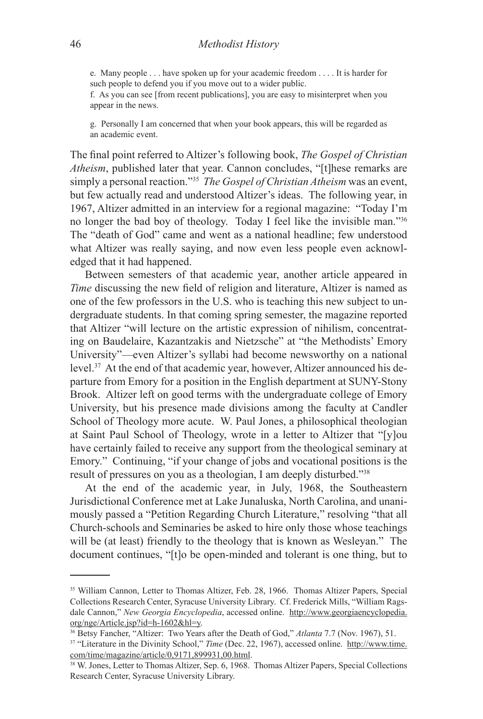e. Many people . . . have spoken up for your academic freedom . . . . It is harder for such people to defend you if you move out to a wider public.

f. As you can see [from recent publications], you are easy to misinterpret when you appear in the news.

g. Personally I am concerned that when your book appears, this will be regarded as an academic event.

The final point referred to Altizer's following book, *The Gospel of Christian Atheism*, published later that year. Cannon concludes, "[t]hese remarks are simply a personal reaction."35 *The Gospel of Christian Atheism* was an event, but few actually read and understood Altizer's ideas. The following year, in 1967, Altizer admitted in an interview for a regional magazine: "Today I'm no longer the bad boy of theology. Today I feel like the invisible man."36 The "death of God" came and went as a national headline; few understood what Altizer was really saying, and now even less people even acknowledged that it had happened.

Between semesters of that academic year, another article appeared in *Time* discussing the new field of religion and literature, Altizer is named as one of the few professors in the U.S. who is teaching this new subject to undergraduate students. In that coming spring semester, the magazine reported that Altizer "will lecture on the artistic expression of nihilism, concentrating on Baudelaire, Kazantzakis and Nietzsche" at "the Methodists' Emory University"—even Altizer's syllabi had become newsworthy on a national level.37 At the end of that academic year, however, Altizer announced his departure from Emory for a position in the English department at SUNY-Stony Brook. Altizer left on good terms with the undergraduate college of Emory University, but his presence made divisions among the faculty at Candler School of Theology more acute. W. Paul Jones, a philosophical theologian at Saint Paul School of Theology, wrote in a letter to Altizer that "[y]ou have certainly failed to receive any support from the theological seminary at Emory." Continuing, "if your change of jobs and vocational positions is the result of pressures on you as a theologian, I am deeply disturbed."38

At the end of the academic year, in July, 1968, the Southeastern Jurisdictional Conference met at Lake Junaluska, North Carolina, and unanimously passed a "Petition Regarding Church Literature," resolving "that all Church-schools and Seminaries be asked to hire only those whose teachings will be (at least) friendly to the theology that is known as Wesleyan." The document continues, "[t]o be open-minded and tolerant is one thing, but to

<sup>35</sup> William Cannon, Letter to Thomas Altizer, Feb. 28, 1966. Thomas Altizer Papers, Special Collections Research Center, Syracuse University Library. Cf. Frederick Mills, "William Ragsdale Cannon," *New Georgia Encyclopedia*, accessed online. http://www.georgiaencyclopedia. org/nge/Article.jsp?id=h-1602&hl=y.

<sup>36</sup> Betsy Fancher, "Altizer: Two Years after the Death of God," *Atlanta* 7.7 (Nov. 1967), 51.

<sup>&</sup>lt;sup>37</sup> "Literature in the Divinity School," *Time* (Dec. 22, 1967), accessed online. http://www.time. com/time/magazine/article/0,9171,899931,00.html.

<sup>38</sup> W. Jones, Letter to Thomas Altizer, Sep. 6, 1968. Thomas Altizer Papers, Special Collections Research Center, Syracuse University Library.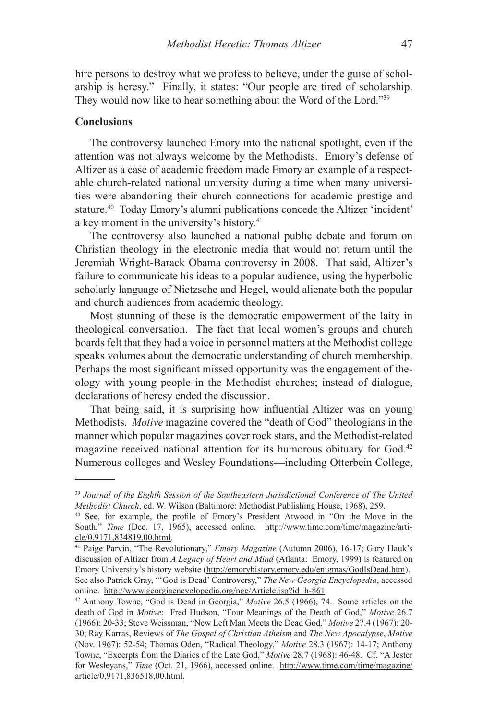hire persons to destroy what we profess to believe, under the guise of scholarship is heresy." Finally, it states: "Our people are tired of scholarship. They would now like to hear something about the Word of the Lord."39

## **Conclusions**

The controversy launched Emory into the national spotlight, even if the attention was not always welcome by the Methodists. Emory's defense of Altizer as a case of academic freedom made Emory an example of a respectable church-related national university during a time when many universities were abandoning their church connections for academic prestige and stature.40 Today Emory's alumni publications concede the Altizer 'incident' a key moment in the university's history.<sup>41</sup>

The controversy also launched a national public debate and forum on Christian theology in the electronic media that would not return until the Jeremiah Wright-Barack Obama controversy in 2008. That said, Altizer's failure to communicate his ideas to a popular audience, using the hyperbolic scholarly language of Nietzsche and Hegel, would alienate both the popular and church audiences from academic theology.

Most stunning of these is the democratic empowerment of the laity in theological conversation. The fact that local women's groups and church boards felt that they had a voice in personnel matters at the Methodist college speaks volumes about the democratic understanding of church membership. Perhaps the most significant missed opportunity was the engagement of theology with young people in the Methodist churches; instead of dialogue, declarations of heresy ended the discussion.

That being said, it is surprising how influential Altizer was on young Methodists. *Motive* magazine covered the "death of God" theologians in the manner which popular magazines cover rock stars, and the Methodist-related magazine received national attention for its humorous obituary for God.<sup>42</sup> Numerous colleges and Wesley Foundations—including Otterbein College,

<sup>39</sup> *Journal of the Eighth Session of the Southeastern Jurisdictional Conference of The United Methodist Church*, ed. W. Wilson (Baltimore: Methodist Publishing House, 1968), 259.

<sup>40</sup> See, for example, the profile of Emory's President Atwood in "On the Move in the South," *Time* (Dec. 17, 1965), accessed online. http://www.time.com/time/magazine/article/0,9171,834819,00.html.

<sup>41</sup> Paige Parvin, "The Revolutionary," *Emory Magazine* (Autumn 2006), 16-17; Gary Hauk's discussion of Altizer from *A Legacy of Heart and Mind* (Atlanta: Emory, 1999) is featured on Emory University's history website (http://emoryhistory.emory.edu/enigmas/GodIsDead.htm). See also Patrick Gray, "'God is Dead' Controversy," *The New Georgia Encyclopedia*, accessed online. http://www.georgiaencyclopedia.org/nge/Article.jsp?id=h-861.

<sup>42</sup> Anthony Towne, "God is Dead in Georgia," *Motive* 26.5 (1966), 74. Some articles on the death of God in *Motive*: Fred Hudson, "Four Meanings of the Death of God," *Motive* 26.7 (1966): 20-33; Steve Weissman, "New Left Man Meets the Dead God," *Motive* 27.4 (1967): 20- 30; Ray Karras, Reviews of *The Gospel of Christian Atheism* and *The New Apocalypse*, *Motive* (Nov. 1967): 52-54; Thomas Oden, "Radical Theology," *Motive* 28.3 (1967): 14-17; Anthony Towne, "Excerpts from the Diaries of the Late God," *Motive* 28.7 (1968): 46-48. Cf. "A Jester for Wesleyans," *Time* (Oct. 21, 1966), accessed online. http://www.time.com/time/magazine/ article/0,9171,836518,00.html.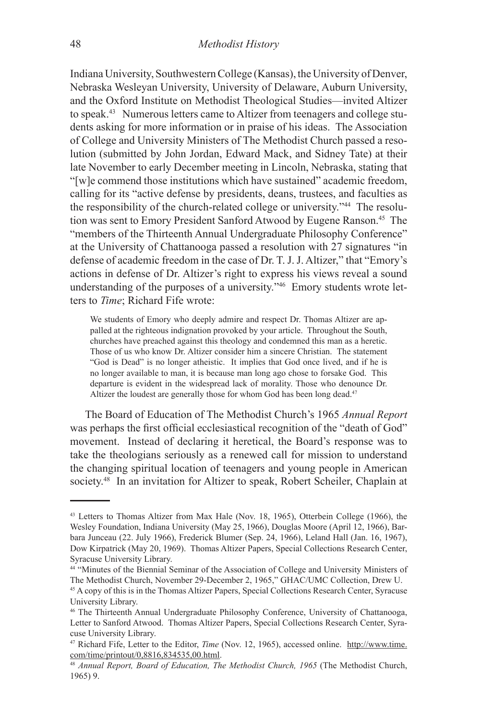Indiana University, Southwestern College (Kansas), the University of Denver, Nebraska Wesleyan University, University of Delaware, Auburn University, and the Oxford Institute on Methodist Theological Studies—invited Altizer to speak.43 Numerous letters came to Altizer from teenagers and college students asking for more information or in praise of his ideas. The Association of College and University Ministers of The Methodist Church passed a resolution (submitted by John Jordan, Edward Mack, and Sidney Tate) at their late November to early December meeting in Lincoln, Nebraska, stating that "[w]e commend those institutions which have sustained" academic freedom, calling for its "active defense by presidents, deans, trustees, and faculties as the responsibility of the church-related college or university."44 The resolution was sent to Emory President Sanford Atwood by Eugene Ranson.45 The "members of the Thirteenth Annual Undergraduate Philosophy Conference" at the University of Chattanooga passed a resolution with 27 signatures "in defense of academic freedom in the case of Dr. T. J. J. Altizer," that "Emory's actions in defense of Dr. Altizer's right to express his views reveal a sound understanding of the purposes of a university."<sup>46</sup> Emory students wrote letters to *Time*; Richard Fife wrote:

We students of Emory who deeply admire and respect Dr. Thomas Altizer are appalled at the righteous indignation provoked by your article. Throughout the South, churches have preached against this theology and condemned this man as a heretic. Those of us who know Dr. Altizer consider him a sincere Christian. The statement "God is Dead" is no longer atheistic. It implies that God once lived, and if he is no longer available to man, it is because man long ago chose to forsake God. This departure is evident in the widespread lack of morality. Those who denounce Dr. Altizer the loudest are generally those for whom God has been long dead.<sup>47</sup>

The Board of Education of The Methodist Church's 1965 *Annual Report* was perhaps the first official ecclesiastical recognition of the "death of God" movement. Instead of declaring it heretical, the Board's response was to take the theologians seriously as a renewed call for mission to understand the changing spiritual location of teenagers and young people in American society.<sup>48</sup> In an invitation for Altizer to speak, Robert Scheiler, Chaplain at

<sup>43</sup> Letters to Thomas Altizer from Max Hale (Nov. 18, 1965), Otterbein College (1966), the Wesley Foundation, Indiana University (May 25, 1966), Douglas Moore (April 12, 1966), Barbara Junceau (22. July 1966), Frederick Blumer (Sep. 24, 1966), Leland Hall (Jan. 16, 1967), Dow Kirpatrick (May 20, 1969). Thomas Altizer Papers, Special Collections Research Center, Syracuse University Library.

<sup>44 &</sup>quot;Minutes of the Biennial Seminar of the Association of College and University Ministers of The Methodist Church, November 29-December 2, 1965," GHAC/UMC Collection, Drew U.

<sup>45</sup> A copy of this is in the Thomas Altizer Papers, Special Collections Research Center, Syracuse University Library.

<sup>46</sup> The Thirteenth Annual Undergraduate Philosophy Conference, University of Chattanooga, Letter to Sanford Atwood. Thomas Altizer Papers, Special Collections Research Center, Syracuse University Library.

<sup>47</sup> Richard Fife, Letter to the Editor, *Time* (Nov. 12, 1965), accessed online. http://www.time. com/time/printout/0,8816,834535,00.html.

<sup>48</sup> *Annual Report, Board of Education, The Methodist Church, 1965* (The Methodist Church, 1965) 9.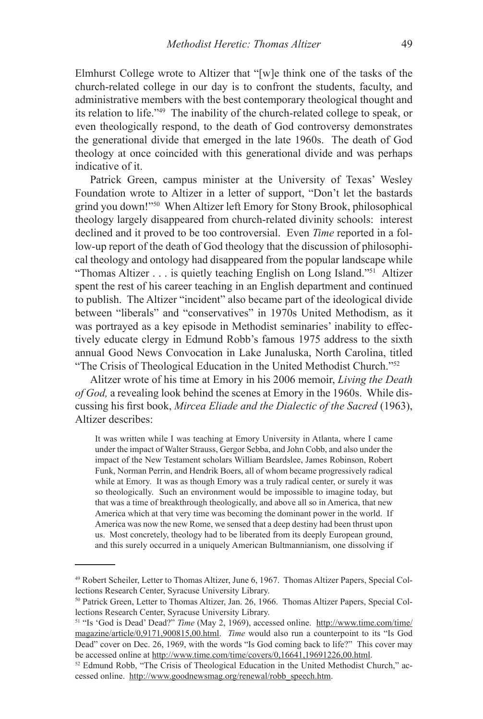Elmhurst College wrote to Altizer that "[w]e think one of the tasks of the church-related college in our day is to confront the students, faculty, and administrative members with the best contemporary theological thought and its relation to life."49 The inability of the church-related college to speak, or even theologically respond, to the death of God controversy demonstrates the generational divide that emerged in the late 1960s. The death of God theology at once coincided with this generational divide and was perhaps indicative of it.

Patrick Green, campus minister at the University of Texas' Wesley Foundation wrote to Altizer in a letter of support, "Don't let the bastards grind you down!"50 When Altizer left Emory for Stony Brook, philosophical theology largely disappeared from church-related divinity schools: interest declined and it proved to be too controversial. Even *Time* reported in a follow-up report of the death of God theology that the discussion of philosophical theology and ontology had disappeared from the popular landscape while "Thomas Altizer . . . is quietly teaching English on Long Island."51 Altizer spent the rest of his career teaching in an English department and continued to publish. The Altizer "incident" also became part of the ideological divide between "liberals" and "conservatives" in 1970s United Methodism, as it was portrayed as a key episode in Methodist seminaries' inability to effectively educate clergy in Edmund Robb's famous 1975 address to the sixth annual Good News Convocation in Lake Junaluska, North Carolina, titled "The Crisis of Theological Education in the United Methodist Church."52

Alitzer wrote of his time at Emory in his 2006 memoir, *Living the Death of God,* a revealing look behind the scenes at Emory in the 1960s. While discussing his first book, *Mircea Eliade and the Dialectic of the Sacred* (1963), Altizer describes:

It was written while I was teaching at Emory University in Atlanta, where I came under the impact of Walter Strauss, Gergor Sebba, and John Cobb, and also under the impact of the New Testament scholars William Beardslee, James Robinson, Robert Funk, Norman Perrin, and Hendrik Boers, all of whom became progressively radical while at Emory. It was as though Emory was a truly radical center, or surely it was so theologically. Such an environment would be impossible to imagine today, but that was a time of breakthrough theologically, and above all so in America, that new America which at that very time was becoming the dominant power in the world. If America was now the new Rome, we sensed that a deep destiny had been thrust upon us. Most concretely, theology had to be liberated from its deeply European ground, and this surely occurred in a uniquely American Bultmannianism, one dissolving if

<sup>49</sup> Robert Scheiler, Letter to Thomas Altizer, June 6, 1967. Thomas Altizer Papers, Special Collections Research Center, Syracuse University Library.

<sup>50</sup> Patrick Green, Letter to Thomas Altizer, Jan. 26, 1966. Thomas Altizer Papers, Special Collections Research Center, Syracuse University Library.

<sup>51 &</sup>quot;Is 'God is Dead' Dead?" *Time* (May 2, 1969), accessed online. http://www.time.com/time/ magazine/article/0,9171,900815,00.html. *Time* would also run a counterpoint to its "Is God Dead" cover on Dec. 26, 1969, with the words "Is God coming back to life?" This cover may be accessed online at http://www.time.com/time/covers/0,16641,19691226,00.html.

 $52$  Edmund Robb, "The Crisis of Theological Education in the United Methodist Church," accessed online. http://www.goodnewsmag.org/renewal/robb\_speech.htm.